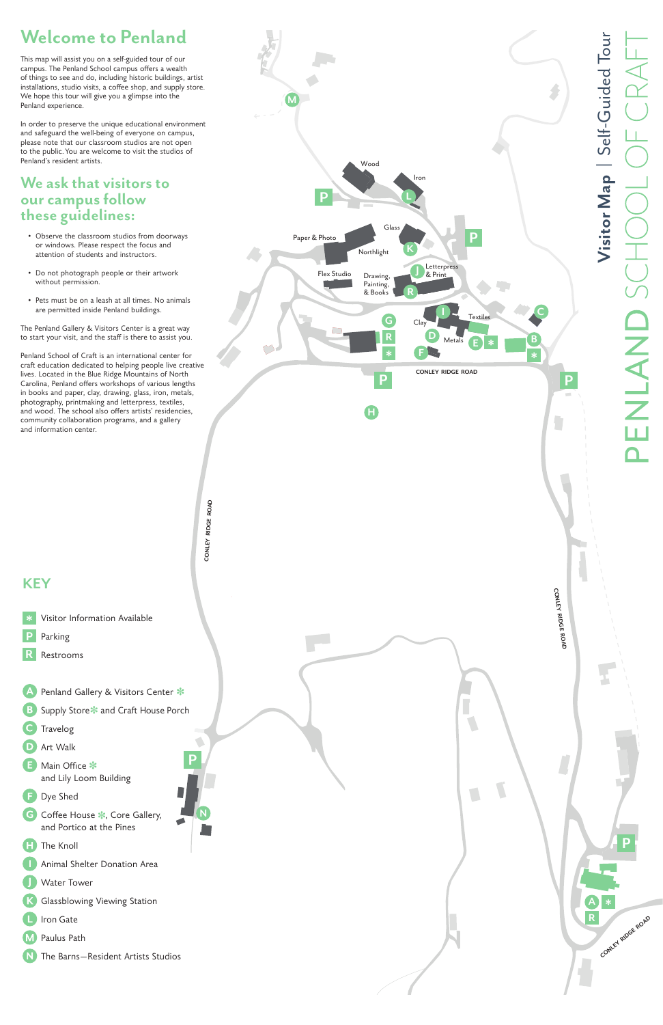# **Welcome to Penland**

This map will assist you on a self-guided tour of our campus. The Penland School campus offers a wealth of things to see and do, including historic buildings, artist installations, studio visits, a coffee shop, and supply store. We hope this tour will give you a glimpse into the Penland experience.

In order to preserve the unique educational environment and safeguard the well-being of everyone on campus, please note that our classroom studios are not open to the public. You are welcome to visit the studios of Penland's resident artists.

## **We ask that visitors to our campus follow these guidelines:**

- Observe the classroom studios from doorways or windows. Please respect the focus and attention of students and instructors.
- Do not photograph people or their artwork without permission.
- Pets must be on a leash at all times. No animals are permitted inside Penland buildings.





The Penland Gallery & Visitors Center is a great way to start your visit, and the staff is there to assist you.

Penland School of Craft is an international center for craft education dedicated to helping people live creative lives. Located in the Blue Ridge Mountains of North Carolina, Penland offers workshops of various lengths in books and paper, clay, drawing, glass, iron, metals, photography, printmaking and letterpress, textiles, and wood. The school also offers artists' residencies, community collaboration programs, and a gallery and information center.

## **KEY**



- Dye Shed
- G) Coffee House \*, Core Gallery, and Portico at the Pines
- Œ The Knoll
- Animal Shelter Donation Area
- Water Tower
- Glassblowing Viewing Station
- Iron Gate
- Paulus Path
- The Barns—Resident Artists Studios

**N**

**PENLAND SCI** 

**Visitor Map |** Self-Guided Tour

Visitor Map | Self-Guided Tour